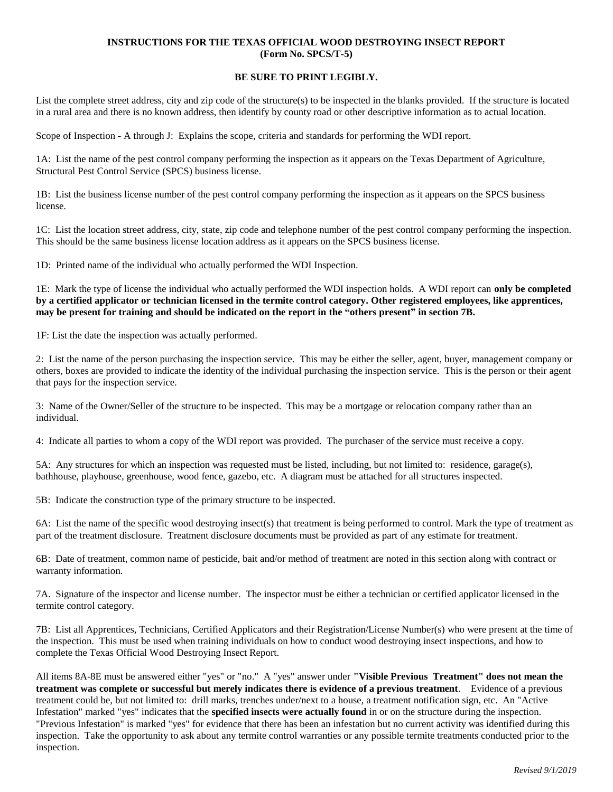## **INSTRUCTIONS FOR THE TEXAS OFFICIAL WOOD DESTROYING INSECT REPORT (Form No. SPCS/T-5)**

## **BE SURE TO PRINT LEGIBLY.**

List the complete street address, city and zip code of the structure(s) to be inspected in the blanks provided. If the structure is located in a rural area and there is no known address, then identify by county road or other descriptive information as to actual location.

Scope of Inspection - A through J: Explains the scope, criteria and standards for performing the WDI report.

1A: List the name of the pest control company performing the inspection as it appears on the Texas Department of Agriculture, Structural Pest Control Service (SPCS) business license.

1B: List the business license number of the pest control company performing the inspection as it appears on the SPCS business license.

1C: List the location street address, city, state, zip code and telephone number of the pest control company performing the inspection. This should be the same business license location address as it appears on the SPCS business license.

1D: Printed name of the individual who actually performed the WDI Inspection.

1E: Mark the type of license the individual who actually performed the WDI inspection holds. A WDI report can **only be completed by a certified applicator or technician licensed in the termite control category. Other registered employees, like apprentices, may be present for training and should be indicated on the report in the "others present" in section 7B.** 

1F: List the date the inspection was actually performed.

2: List the name of the person purchasing the inspection service. This may be either the seller, agent, buyer, management company or others, boxes are provided to indicate the identity of the individual purchasing the inspection service. This is the person or their agent that pays for the inspection service.

3: Name of the Owner/Seller of the structure to be inspected. This may be a mortgage or relocation company rather than an individual.

4: Indicate all parties to whom a copy of the WDI report was provided. The purchaser of the service must receive a copy.

5A: Any structures for which an inspection was requested must be listed, including, but not limited to: residence, garage(s), bathhouse, playhouse, greenhouse, wood fence, gazebo, etc. A diagram must be attached for all structures inspected.

5B: Indicate the construction type of the primary structure to be inspected.

6A: List the name of the specific wood destroying insect(s) that treatment is being performed to control. Mark the type of treatment as part of the treatment disclosure. Treatment disclosure documents must be provided as part of any estimate for treatment.

6B: Date of treatment, common name of pesticide, bait and/or method of treatment are noted in this section along with contract or warranty information.

7A. Signature of the inspector and license number. The inspector must be either a technician or certified applicator licensed in the termite control category.

7B: List all Apprentices, Technicians, Certified Applicators and their Registration/License Number(s) who were present at the time of the inspection. This must be used when training individuals on how to conduct wood destroying insect inspections, and how to complete the Texas Official Wood Destroying Insect Report.

All items 8A-8E must be answered either "yes" or "no." A "yes" answer under **"Visible Previous Treatment" does not mean the treatment was complete or successful but merely indicates there is evidence of a previous treatment**. Evidence of a previous treatment could be, but not limited to: drill marks, trenches under/next to a house, a treatment notification sign, etc. An "Active Infestation" marked "yes" indicates that the **specified insects were actually found** in or on the structure during the inspection. "Previous Infestation" is marked "yes" for evidence that there has been an infestation but no current activity was identified during this inspection. Take the opportunity to ask about any termite control warranties or any possible termite treatments conducted prior to the inspection.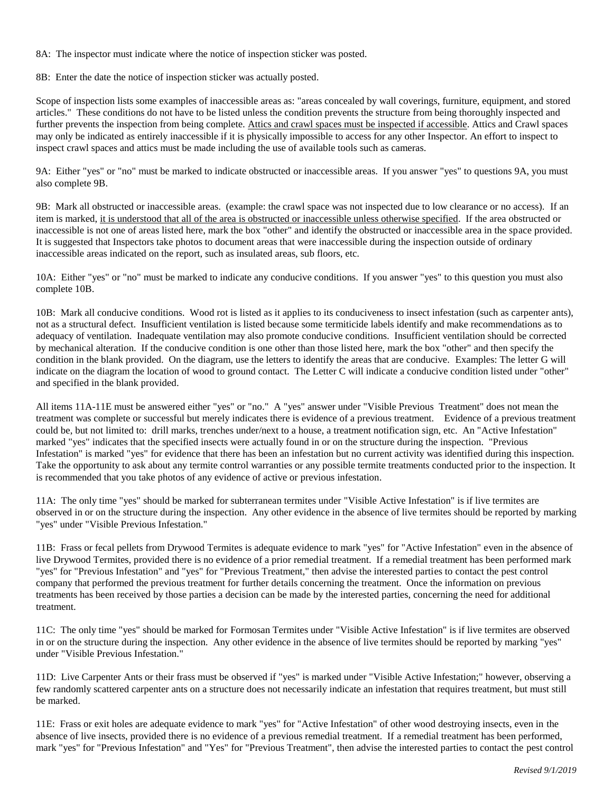8A: The inspector must indicate where the notice of inspection sticker was posted.

8B: Enter the date the notice of inspection sticker was actually posted.

Scope of inspection lists some examples of inaccessible areas as: "areas concealed by wall coverings, furniture, equipment, and stored articles." These conditions do not have to be listed unless the condition prevents the structure from being thoroughly inspected and further prevents the inspection from being complete. Attics and crawl spaces must be inspected if accessible. Attics and Crawl spaces may only be indicated as entirely inaccessible if it is physically impossible to access for any other Inspector. An effort to inspect to inspect crawl spaces and attics must be made including the use of available tools such as cameras.

9A: Either "yes" or "no" must be marked to indicate obstructed or inaccessible areas. If you answer "yes" to questions 9A, you must also complete 9B.

9B: Mark all obstructed or inaccessible areas. (example: the crawl space was not inspected due to low clearance or no access). If an item is marked, it is understood that all of the area is obstructed or inaccessible unless otherwise specified. If the area obstructed or inaccessible is not one of areas listed here, mark the box "other" and identify the obstructed or inaccessible area in the space provided. It is suggested that Inspectors take photos to document areas that were inaccessible during the inspection outside of ordinary inaccessible areas indicated on the report, such as insulated areas, sub floors, etc.

10A: Either "yes" or "no" must be marked to indicate any conducive conditions. If you answer "yes" to this question you must also complete 10B.

10B: Mark all conducive conditions. Wood rot is listed as it applies to its conduciveness to insect infestation (such as carpenter ants), not as a structural defect. Insufficient ventilation is listed because some termiticide labels identify and make recommendations as to adequacy of ventilation. Inadequate ventilation may also promote conducive conditions. Insufficient ventilation should be corrected by mechanical alteration. If the conducive condition is one other than those listed here, mark the box "other" and then specify the condition in the blank provided. On the diagram, use the letters to identify the areas that are conducive. Examples: The letter G will indicate on the diagram the location of wood to ground contact. The Letter C will indicate a conducive condition listed under "other" and specified in the blank provided.

All items 11A-11E must be answered either "yes" or "no." A "yes" answer under "Visible Previous Treatment" does not mean the treatment was complete or successful but merely indicates there is evidence of a previous treatment. Evidence of a previous treatment could be, but not limited to: drill marks, trenches under/next to a house, a treatment notification sign, etc. An "Active Infestation" marked "yes" indicates that the specified insects were actually found in or on the structure during the inspection. "Previous Infestation" is marked "yes" for evidence that there has been an infestation but no current activity was identified during this inspection. Take the opportunity to ask about any termite control warranties or any possible termite treatments conducted prior to the inspection. It is recommended that you take photos of any evidence of active or previous infestation.

11A: The only time "yes" should be marked for subterranean termites under "Visible Active Infestation" is if live termites are observed in or on the structure during the inspection. Any other evidence in the absence of live termites should be reported by marking "yes" under "Visible Previous Infestation."

11B: Frass or fecal pellets from Drywood Termites is adequate evidence to mark "yes" for "Active Infestation" even in the absence of live Drywood Termites, provided there is no evidence of a prior remedial treatment. If a remedial treatment has been performed mark "yes" for "Previous Infestation" and "yes" for "Previous Treatment," then advise the interested parties to contact the pest control company that performed the previous treatment for further details concerning the treatment. Once the information on previous treatments has been received by those parties a decision can be made by the interested parties, concerning the need for additional treatment.

11C: The only time "yes" should be marked for Formosan Termites under "Visible Active Infestation" is if live termites are observed in or on the structure during the inspection. Any other evidence in the absence of live termites should be reported by marking "yes" under "Visible Previous Infestation."

11D: Live Carpenter Ants or their frass must be observed if "yes" is marked under "Visible Active Infestation;" however, observing a few randomly scattered carpenter ants on a structure does not necessarily indicate an infestation that requires treatment, but must still be marked.

11E: Frass or exit holes are adequate evidence to mark "yes" for "Active Infestation" of other wood destroying insects, even in the absence of live insects, provided there is no evidence of a previous remedial treatment. If a remedial treatment has been performed, mark "yes" for "Previous Infestation" and "Yes" for "Previous Treatment", then advise the interested parties to contact the pest control